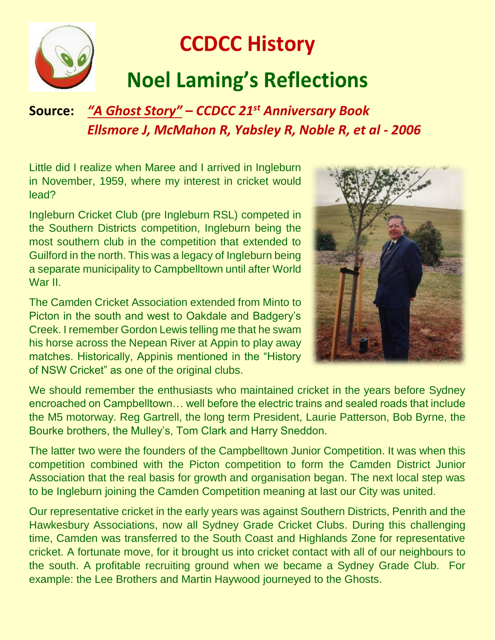

## **CCDCC History Noel Laming's Reflections**

## **Source:** *"A Ghost Story" – CCDCC 21st Anniversary Book Ellsmore J, McMahon R, Yabsley R, Noble R, et al - 2006*

Little did I realize when Maree and I arrived in Ingleburn in November, 1959, where my interest in cricket would lead?

Ingleburn Cricket Club (pre Ingleburn RSL) competed in the Southern Districts competition, Ingleburn being the most southern club in the competition that extended to Guilford in the north. This was a legacy of Ingleburn being a separate municipality to Campbelltown until after World War II

The Camden Cricket Association extended from Minto to Picton in the south and west to Oakdale and Badgery's Creek. I remember Gordon Lewis telling me that he swam his horse across the Nepean River at Appin to play away matches. Historically, Appinis mentioned in the "History of NSW Cricket" as one of the original clubs.



We should remember the enthusiasts who maintained cricket in the years before Sydney encroached on Campbelltown… well before the electric trains and sealed roads that include the M5 motorway. Reg Gartrell, the long term President, Laurie Patterson, Bob Byrne, the Bourke brothers, the Mulley's, Tom Clark and Harry Sneddon.

The latter two were the founders of the Campbelltown Junior Competition. It was when this competition combined with the Picton competition to form the Camden District Junior Association that the real basis for growth and organisation began. The next local step was to be Ingleburn joining the Camden Competition meaning at last our City was united.

Our representative cricket in the early years was against Southern Districts, Penrith and the Hawkesbury Associations, now all Sydney Grade Cricket Clubs. During this challenging time, Camden was transferred to the South Coast and Highlands Zone for representative cricket. A fortunate move, for it brought us into cricket contact with all of our neighbours to the south. A profitable recruiting ground when we became a Sydney Grade Club. For example: the Lee Brothers and Martin Haywood journeyed to the Ghosts.